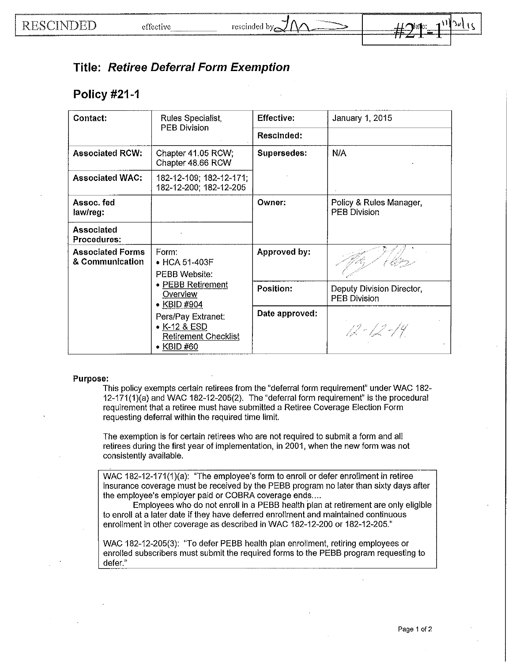

## **Title: Retiree Deferral Form Exemption**

## **Policy #21-1**

| Contact:                                   | Rules Specialist,<br>PEB Division                                                                                                                                                        | <b>Effective:</b><br>Rescinded: | January 1, 2015                                  |
|--------------------------------------------|------------------------------------------------------------------------------------------------------------------------------------------------------------------------------------------|---------------------------------|--------------------------------------------------|
| <b>Associated RCW:</b>                     | Chapter 41.05 RCW;<br>Chapter 48.66 RCW                                                                                                                                                  | Supersedes:                     | N/A                                              |
| <b>Associated WAC:</b>                     | 182-12-109; 182-12-171;<br>182-12-200; 182-12-205                                                                                                                                        |                                 |                                                  |
| Assoc. fed<br>law/reg:                     |                                                                                                                                                                                          | Owner:                          | Policy & Rules Manager,<br>PEB Division          |
| Associated<br>Procedures:                  |                                                                                                                                                                                          |                                 |                                                  |
| <b>Associated Forms</b><br>& Communication | Form:<br>• HCA 51-403F<br>PEBB Website:<br>• PEBB Retirement<br>Overview<br>$\bullet$ KBID #904<br>Pers/Pay Extranet:<br>$\bullet$ K-12 & ESD<br><b>Retirement Checklist</b><br>KBID #60 | Approved by:                    |                                                  |
|                                            |                                                                                                                                                                                          | Position:                       | Deputy Division Director,<br><b>PEB Division</b> |
|                                            |                                                                                                                                                                                          | Date approved:                  | $12 - 12 - 14$                                   |

## **Purpose:**

This policy exempts certain retirees from the "deferral form requirement" under WAC 182- 12-171(1)(a) and WAC 182-12-205(2). The "deferral form requirement" is the procedural requirement that a retiree must have submitted a Retiree Coverage Election Form requesting deferral within the required time limit.

The exemption is for certain retirees who are not required to submit a form and all retirees during the first year of implementation, **in** 2001, when the new form was not consistently available.

WAC 182-12-171(1)(a): "The employee's form to enroll or defer enrollment **in** retiree insurance coverage must be received by the PEBB program no later than sixty days after the employee's employer paid or COBRA coverage ends....

Employees who do not enroll **in** a PEBB health plan at retirement are only eligible to enroll at a later date if they have deferred enrollment.and maintained continuous enrollment in other coverage as described **in** WAC 182-12-200 or 182-12-205."

WAC 182-12-205(3): "To defer PEBB health plan enrollment, retiring employees or enrolled subscribers must submit the required forms to the PEBB program requesting to defer."